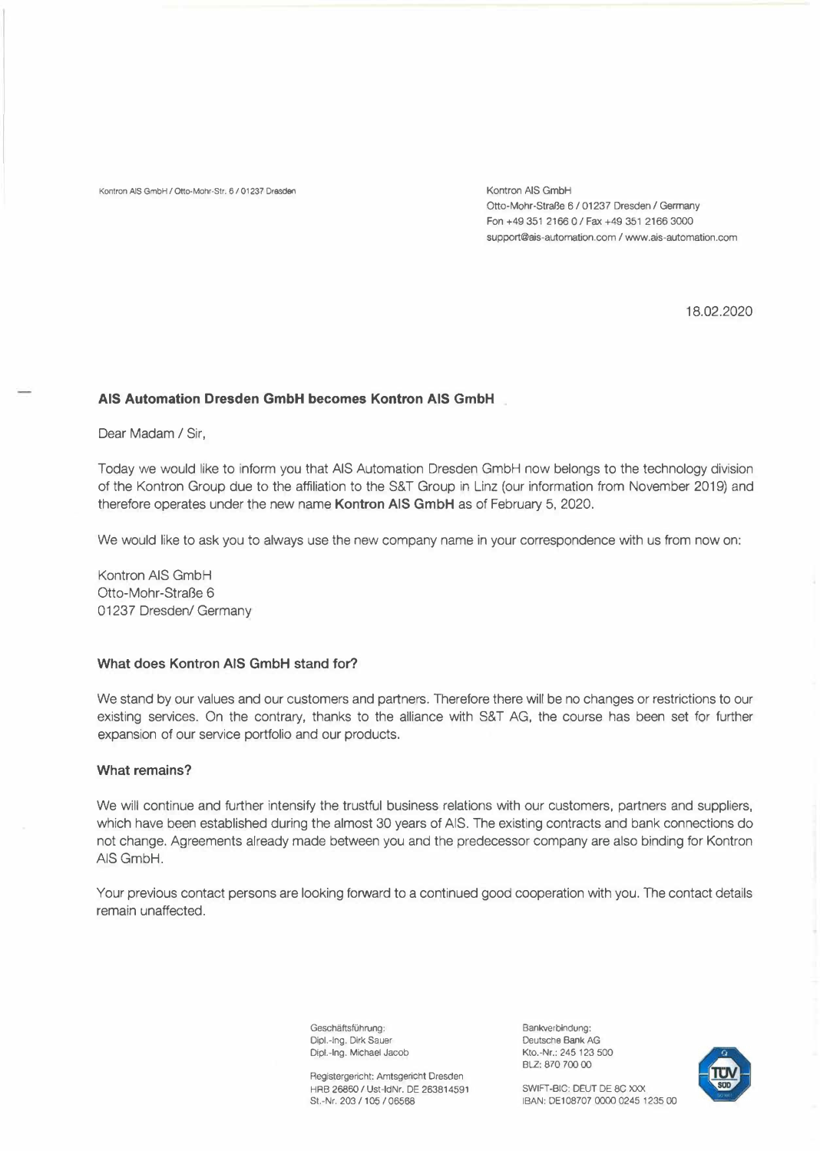Kontron AIS GmbH / Otto-Mohr-Str. 6 / 01237 Dresden Kontron AIS GmbH Kontron AIS GmbH

Otto-Mohr-Straße 6 / 01237 Dresden / Germany Fon+4935121660/Fax+4935121663000 support@ais-automation.com / www.ais-automation.com

18.02.2020

## **AIS Automation Dresden GmbH becomes Kontron AIS GmbH**

Dear Madam/ Sir,

Today we would like to inform you that AIS Automation Dresden GmbH now belongs to the technology division of the Kontron Group due to the affiliation to the S&T Group in Linz (our information from November 2019) and therefore operates under the new name **Kontron AIS GmbH** as of February 5, 2020.

We would like to ask you to always use the new company name in your correspondence with us from now on:

Kontron AIS GmbH Otto-Mohr-Straße 6 01237 Dresden/ Germany

# **What does Kontron AIS GmbH stand for?**

We stand by our values and our customers and partners. Therefore there will be no changes or restrictions to our existing services. On the contrary, thanks to the alliance with S&T AG, the course has been set for further expansion of our service portfolio and our products.

## **What remains?**

We will continue and further intensify the trustful business relations with our customers, partners and suppliers, which have been established during the almost 30 years of AIS. The existing contracts and bank connections do not change. Agreements already made between you and the predecessor company are also binding for Kontron AIS GmbH.

Your previous contact persons are looking forward to a continued good cooperation with you. The contact details remain unaffected.

> Geschäftsführung: Dipl.-Ing. Dirk Sauer Dipl.-Ing. Michael Jacob

Registergericht: Amtsgericht Dresden HRB 26860 / Ust-IdNr. DE 263814591 St.-Nr. 203 / 105 / 06568

Bankverbindung: Deutsche Bank AG Kto.-Nr.: 245 123 500 BLZ: 870 700 00



SWIFT-BIC: DEUT DE 8C XXX IBAN: DE108707 0000 0245 1235 00